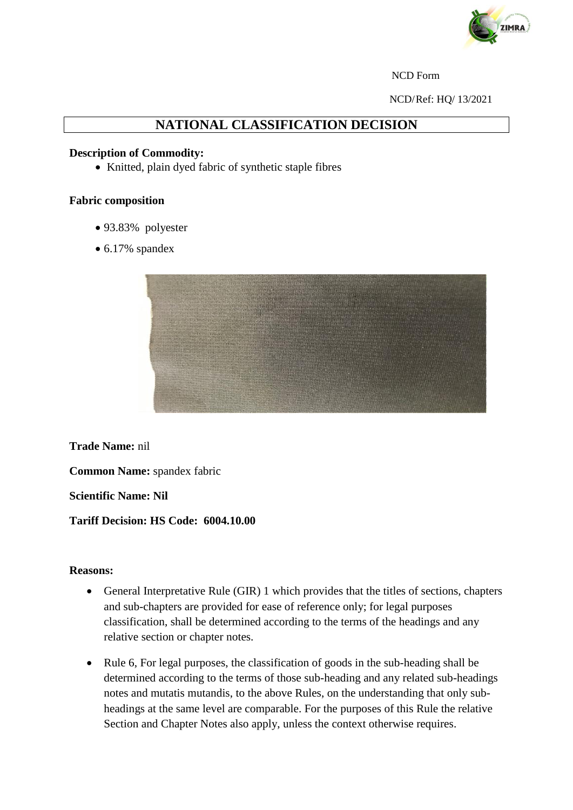

#### NCD Form

NCD/Ref: HQ/ 13/2021

# **NATIONAL CLASSIFICATION DECISION**

### **Description of Commodity:**

• Knitted, plain dyed fabric of synthetic staple fibres

### **Fabric composition**

- 93.83% polyester
- 6.17% spandex



**Trade Name:** nil

**Common Name:** spandex fabric

**Scientific Name: Nil**

## **Tariff Decision: HS Code: 6004.10.00**

#### **Reasons:**

- General Interpretative Rule (GIR) 1 which provides that the titles of sections, chapters and sub-chapters are provided for ease of reference only; for legal purposes classification, shall be determined according to the terms of the headings and any relative section or chapter notes.
- Rule 6, For legal purposes, the classification of goods in the sub-heading shall be determined according to the terms of those sub-heading and any related sub-headings notes and mutatis mutandis, to the above Rules, on the understanding that only subheadings at the same level are comparable. For the purposes of this Rule the relative Section and Chapter Notes also apply, unless the context otherwise requires.